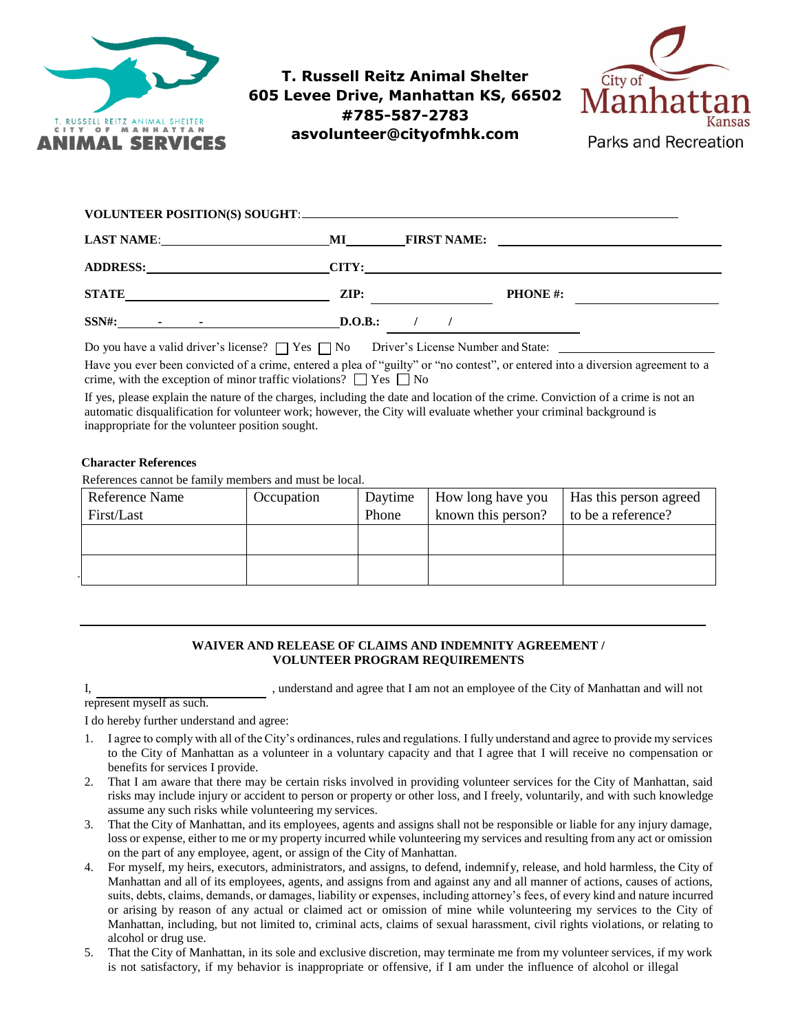

# **T. Russell Reitz Animal Shelter 605 Levee Drive, Manhattan KS, 66502 #785-587-2783 asvolunteer@cityofmhk.com**



| LAST NAME: 1988 CONTROLLER CONTROLLER CONTROLLER CONTROLLER CONTROLLER CONTROLLER CONTROLLER CONTROLLER CONTROLLER CONTROLLER CONTROLLER CONTROLLER CONTROLLER CONTROLLER CONTROLLER CONTROLLER CONTROLLER CONTROLLER CONTROLL | <b>MI________</b> | <b>FIRST NAME:</b> |                 | <u> The Communication of the Communication of the Communication of the Communication of the Communication of the Co</u> |
|--------------------------------------------------------------------------------------------------------------------------------------------------------------------------------------------------------------------------------|-------------------|--------------------|-----------------|-------------------------------------------------------------------------------------------------------------------------|
| ADDRESS: CITY: CITY:                                                                                                                                                                                                           |                   |                    |                 |                                                                                                                         |
| STATE PRESERVE AND A RESIDENCE OF A RESIDENCE OF A REPORT OF A RESIDENCE OF A REPORT OF A REPORT OF A REPORT OF A REPORT OF A REPORT OF A REPORT OF A REPORT OF A REPORT OF A REPORT OF A REPORT OF A REPORT OF A REPORT OF A  | ZIP:              |                    | <b>PHONE</b> #: |                                                                                                                         |
| $SSN\#$ : $\qquad \qquad$ $\qquad \qquad$ $\qquad \qquad$                                                                                                                                                                      | D.O.B.:           |                    |                 |                                                                                                                         |
|                                                                                                                                                                                                                                |                   |                    |                 |                                                                                                                         |

Have you ever been convicted of a crime, entered a plea of "guilty" or "no contest", or entered into a diversion agreement to a crime, with the exception of minor traffic violations?  $\Box$  Yes  $\Box$  No

If yes, please explain the nature of the charges, including the date and location of the crime. Conviction of a crime is not an automatic disqualification for volunteer work; however, the City will evaluate whether your criminal background is inappropriate for the volunteer position sought.

## **Character References**

References cannot be family members and must be local.

| Reference Name | Occupation | Daytime | How long have you  | <b>Has this person agreed</b> |
|----------------|------------|---------|--------------------|-------------------------------|
| First/Last     |            | Phone   | known this person? | to be a reference?            |
|                |            |         |                    |                               |
|                |            |         |                    |                               |
|                |            |         |                    |                               |
|                |            |         |                    |                               |

### **WAIVER AND RELEASE OF CLAIMS AND INDEMNITY AGREEMENT / VOLUNTEER PROGRAM REQUIREMENTS**

I, superstand and agree that I am not an employee of the City of Manhattan and will not

I do hereby further understand and agree:

represent myself as such.

- 1. I agree to comply with all of the City's ordinances, rules and regulations. I fully understand and agree to provide my services to the City of Manhattan as a volunteer in a voluntary capacity and that I agree that I will receive no compensation or benefits for services I provide.
- 2. That I am aware that there may be certain risks involved in providing volunteer services for the City of Manhattan, said risks may include injury or accident to person or property or other loss, and I freely, voluntarily, and with such knowledge assume any such risks while volunteering my services.
- 3. That the City of Manhattan, and its employees, agents and assigns shall not be responsible or liable for any injury damage, loss or expense, either to me or my property incurred while volunteering my services and resulting from any act or omission on the part of any employee, agent, or assign of the City of Manhattan.
- 4. For myself, my heirs, executors, administrators, and assigns, to defend, indemnify, release, and hold harmless, the City of Manhattan and all of its employees, agents, and assigns from and against any and all manner of actions, causes of actions, suits, debts, claims, demands, or damages, liability or expenses, including attorney's fees, of every kind and nature incurred or arising by reason of any actual or claimed act or omission of mine while volunteering my services to the City of Manhattan, including, but not limited to, criminal acts, claims of sexual harassment, civil rights violations, or relating to alcohol or drug use.
- 5. That the City of Manhattan, in its sole and exclusive discretion, may terminate me from my volunteer services, if my work is not satisfactory, if my behavior is inappropriate or offensive, if I am under the influence of alcohol or illegal